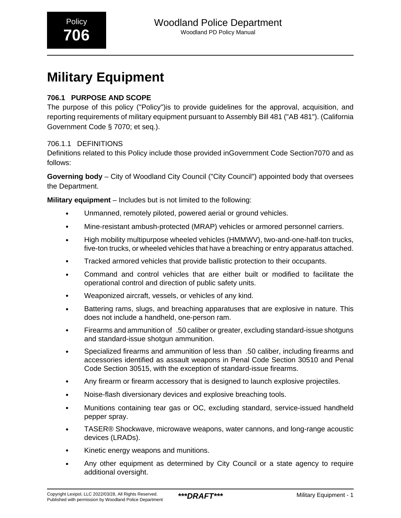# **Military Equipment**

### **706.1 PURPOSE AND SCOPE**

The purpose of this policy ("Policy")is to provide guidelines for the approval, acquisition, and reporting requirements of military equipment pursuant to Assembly Bill 481 ("AB 481"). (California Government Code § 7070; et seq.).

### 706.1.1 DEFINITIONS

Definitions related to this Policy include those provided inGovernment Code Section7070 and as follows:

**Governing body** – City of Woodland City Council ("City Council") appointed body that oversees the Department.

**Military equipment** – Includes but is not limited to the following:

- Unmanned, remotely piloted, powered aerial or ground vehicles.
- Mine-resistant ambush-protected (MRAP) vehicles or armored personnel carriers.
- High mobility multipurpose wheeled vehicles (HMMWV), two-and-one-half-ton trucks, five-ton trucks, or wheeled vehicles that have a breaching or entry apparatus attached.
- Tracked armored vehicles that provide ballistic protection to their occupants.
- Command and control vehicles that are either built or modified to facilitate the operational control and direction of public safety units.
- Weaponized aircraft, vessels, or vehicles of any kind.
- Battering rams, slugs, and breaching apparatuses that are explosive in nature. This does not include a handheld, one-person ram.
- Firearms and ammunition of .50 caliber or greater, excluding standard-issue shotguns and standard-issue shotgun ammunition.
- Specialized firearms and ammunition of less than\_.50 caliber, including firearms and accessories identified as assault weapons in Penal Code Section 30510 and Penal Code Section 30515, with the exception of standard-issue firearms.
- Any firearm or firearm accessory that is designed to launch explosive projectiles.
- Noise-flash diversionary devices and explosive breaching tools.
- Munitions containing tear gas or OC, excluding standard, service-issued handheld pepper spray.
- TASER® Shockwave, microwave weapons, water cannons, and long-range acoustic devices (LRADs).
- Kinetic energy weapons and munitions.
- Any other equipment as determined by City Council or a state agency to require additional oversight.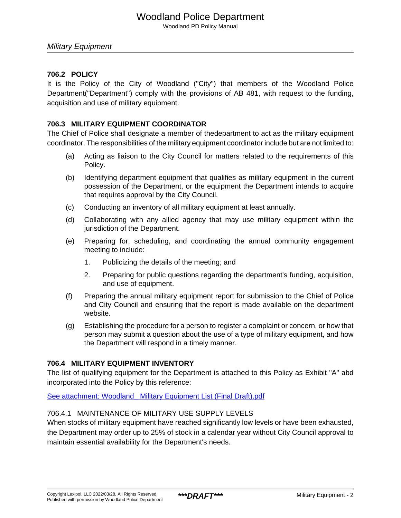## Woodland Police Department

Woodland PD Policy Manual

#### **706.2 POLICY**

It is the Policy of the City of Woodland ("City") that members of the Woodland Police Department("Department") comply with the provisions of AB 481, with request to the funding, acquisition and use of military equipment.

#### **706.3 MILITARY EQUIPMENT COORDINATOR**

The Chief of Police shall designate a member of thedepartment to act as the military equipment coordinator. The responsibilities of the military equipment coordinator include but are not limited to:

- (a) Acting as liaison to the City Council for matters related to the requirements of this Policy.
- (b) Identifying department equipment that qualifies as military equipment in the current possession of the Department, or the equipment the Department intends to acquire that requires approval by the City Council.
- (c) Conducting an inventory of all military equipment at least annually.
- (d) Collaborating with any allied agency that may use military equipment within the jurisdiction of the Department.
- (e) Preparing for, scheduling, and coordinating the annual community engagement meeting to include:
	- 1. Publicizing the details of the meeting; and
	- 2. Preparing for public questions regarding the department's funding, acquisition, and use of equipment.
- (f) Preparing the annual military equipment report for submission to the Chief of Police and City Council and ensuring that the report is made available on the department website.
- (g) Establishing the procedure for a person to register a complaint or concern, or how that person may submit a question about the use of a type of military equipment, and how the Department will respond in a timely manner.

#### **706.4 MILITARY EQUIPMENT INVENTORY**

The list of qualifying equipment for the Department is attached to this Policy as Exhibit "A" abd incorporated into the Policy by this reference:

[See attachment: Woodland\\_ Military Equipment List \(Final Draft\).pdf](#page-6-0)

#### 706.4.1 MAINTENANCE OF MILITARY USE SUPPLY LEVELS

When stocks of military equipment have reached significantly low levels or have been exhausted, the Department may order up to 25% of stock in a calendar year without City Council approval to maintain essential availability for the Department's needs.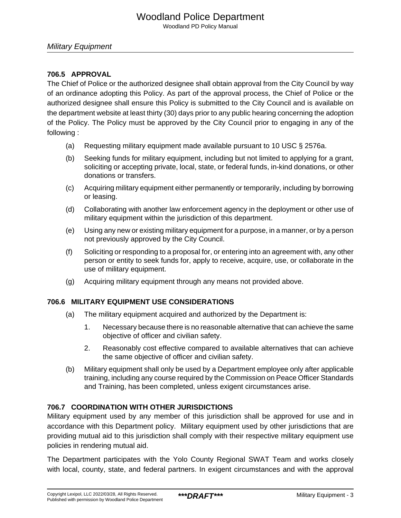## Woodland Police Department

Woodland PD Policy Manual

#### **706.5 APPROVAL**

The Chief of Police or the authorized designee shall obtain approval from the City Council by way of an ordinance adopting this Policy. As part of the approval process, the Chief of Police or the authorized designee shall ensure this Policy is submitted to the City Council and is available on the department website at least thirty (30) days prior to any public hearing concerning the adoption of the Policy. The Policy must be approved by the City Council prior to engaging in any of the following :

- (a) Requesting military equipment made available pursuant to 10 USC § 2576a.
- (b) Seeking funds for military equipment, including but not limited to applying for a grant, soliciting or accepting private, local, state, or federal funds, in-kind donations, or other donations or transfers.
- (c) Acquiring military equipment either permanently or temporarily, including by borrowing or leasing.
- (d) Collaborating with another law enforcement agency in the deployment or other use of military equipment within the jurisdiction of this department.
- (e) Using any new or existing military equipment for a purpose, in a manner, or by a person not previously approved by the City Council.
- (f) Soliciting or responding to a proposal for, or entering into an agreement with, any other person or entity to seek funds for, apply to receive, acquire, use, or collaborate in the use of military equipment.
- (g) Acquiring military equipment through any means not provided above.

### **706.6 MILITARY EQUIPMENT USE CONSIDERATIONS**

- (a) The military equipment acquired and authorized by the Department is:
	- 1. Necessary because there is no reasonable alternative that can achieve the same objective of officer and civilian safety.
	- 2. Reasonably cost effective compared to available alternatives that can achieve the same objective of officer and civilian safety.
- (b) Military equipment shall only be used by a Department employee only after applicable training, including any course required by the Commission on Peace Officer Standards and Training, has been completed, unless exigent circumstances arise.

#### **706.7 COORDINATION WITH OTHER JURISDICTIONS**

Military equipment used by any member of this jurisdiction shall be approved for use and in accordance with this Department policy. Military equipment used by other jurisdictions that are providing mutual aid to this jurisdiction shall comply with their respective military equipment use policies in rendering mutual aid.

The Department participates with the Yolo County Regional SWAT Team and works closely with local, county, state, and federal partners. In exigent circumstances and with the approval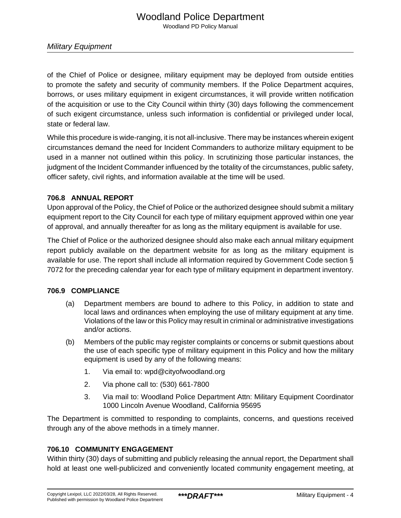Military Equipment

of the Chief of Police or designee, military equipment may be deployed from outside entities to promote the safety and security of community members. If the Police Department acquires, borrows, or uses military equipment in exigent circumstances, it will provide written notification of the acquisition or use to the City Council within thirty (30) days following the commencement of such exigent circumstance, unless such information is confidential or privileged under local, state or federal law.

While this procedure is wide-ranging, it is not all-inclusive. There may be instances wherein exigent circumstances demand the need for Incident Commanders to authorize military equipment to be used in a manner not outlined within this policy. In scrutinizing those particular instances, the judgment of the Incident Commander influenced by the totality of the circumstances, public safety, officer safety, civil rights, and information available at the time will be used.

#### **706.8 ANNUAL REPORT**

Upon approval of the Policy, the Chief of Police or the authorized designee should submit a military equipment report to the City Council for each type of military equipment approved within one year of approval, and annually thereafter for as long as the military equipment is available for use.

The Chief of Police or the authorized designee should also make each annual military equipment report publicly available on the department website for as long as the military equipment is available for use. The report shall include all information required by Government Code section § 7072 for the preceding calendar year for each type of military equipment in department inventory.

#### **706.9 COMPLIANCE**

- (a) Department members are bound to adhere to this Policy, in addition to state and local laws and ordinances when employing the use of military equipment at any time. Violations of the law or this Policy may result in criminal or administrative investigations and/or actions.
- (b) Members of the public may register complaints or concerns or submit questions about the use of each specific type of military equipment in this Policy and how the military equipment is used by any of the following means:
	- 1. Via email to: wpd@cityofwoodland.org
	- 2. Via phone call to: (530) 661-7800
	- 3. Via mail to: Woodland Police Department Attn: Military Equipment Coordinator 1000 Lincoln Avenue Woodland, California 95695

The Department is committed to responding to complaints, concerns, and questions received through any of the above methods in a timely manner.

### **706.10 COMMUNITY ENGAGEMENT**

Within thirty (30) days of submitting and publicly releasing the annual report, the Department shall hold at least one well-publicized and conveniently located community engagement meeting, at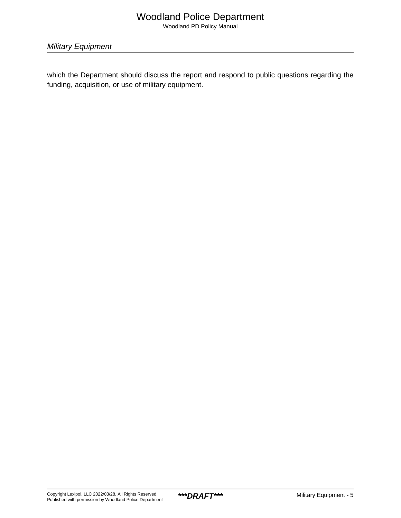## Woodland Police Department

Woodland PD Policy Manual

Military Equipment

which the Department should discuss the report and respond to public questions regarding the funding, acquisition, or use of military equipment.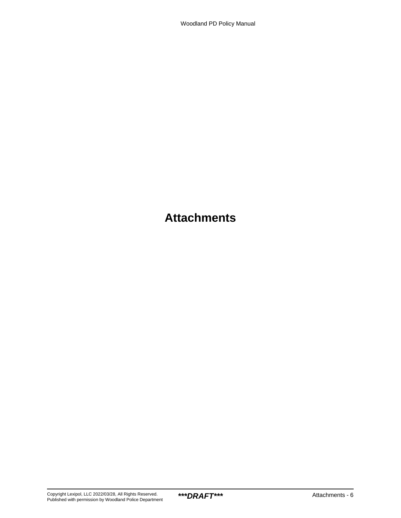# **Attachments**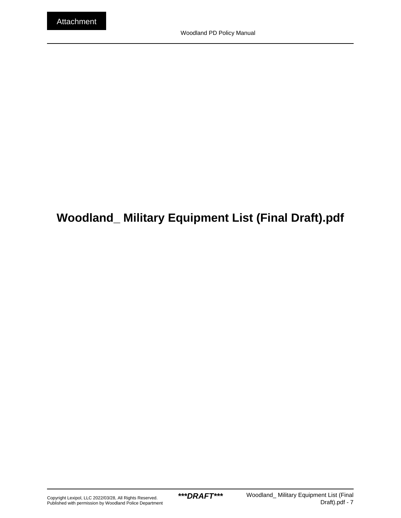# <span id="page-6-0"></span>**Woodland\_ Military Equipment List (Final Draft).pdf**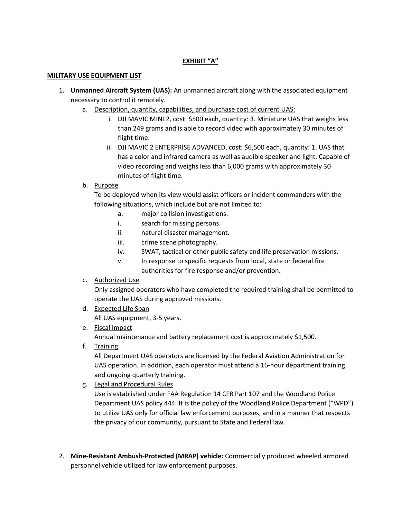#### **EXHIBIT "A"**

#### **MILITARY USE EQUIPMENT LIST**

- 1. **Unmanned Aircraft System (UAS):** An unmanned aircraft along with the associated equipment necessary to control it remotely.
	- a. Description, quantity, capabilities, and purchase cost of current UAS:
		- i. DJI MAVIC MINI 2, cost: \$500 each, quantity: 3. Miniature UAS that weighs less than 249 grams and is able to record video with approximately 30 minutes of flight time.
		- ii. DJI MAVIC 2 ENTERPRISE ADVANCED, cost: \$6,500 each, quantity: 1. UAS that has a color and infrared camera as well as audible speaker and light. Capable of video recording and weighs less than 6,000 grams with approximately 30 minutes of flight time.
	- b. Purpose

To be deployed when its view would assist officers or incident commanders with the following situations, which include but are not limited to:

- a. major collision investigations.
- i. search for missing persons.
- ii. natural disaster management.
- iii. crime scene photography.
- iv. SWAT, tactical or other public safety and life preservation missions.
- v. In response to specific requests from local, state or federal fire authorities for fire response and/or prevention.
- c. Authorized Use

Only assigned operators who have completed the required training shall be permitted to operate the UAS during approved missions.

- d. Expected Life Span All UAS equipment, 3-5 years.
- e. Fiscal Impact

Annual maintenance and battery replacement cost is approximately \$1,500.

f. Training

All Department UAS operators are licensed by the Federal Aviation Administration for UAS operation. In addition, each operator must attend a 16-hour department training and ongoing quarterly training.

g. Legal and Procedural Rules

Use is established under FAA Regulation 14 CFR Part 107 and the Woodland Police Department UAS policy 444. It is the policy of the Woodland Police Department ("WPD") to utilize UAS only for official law enforcement purposes, and in a manner that respects the privacy of our community, pursuant to State and Federal law.

2. **Mine-Resistant Ambush-Protected (MRAP) vehicle:** Commercially produced wheeled armored personnel vehicle utilized for law enforcement purposes.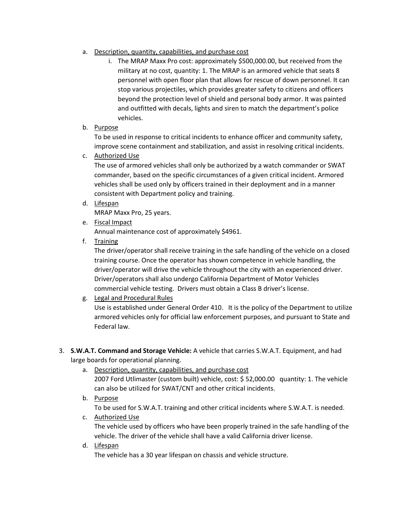- a. Description, quantity, capabilities, and purchase cost
	- i. The MRAP Maxx Pro cost: approximately \$500,000.00, but received from the military at no cost, quantity: 1. The MRAP is an armored vehicle that seats 8 personnel with open floor plan that allows for rescue of down personnel. It can stop various projectiles, which provides greater safety to citizens and officers beyond the protection level of shield and personal body armor. It was painted and outfitted with decals, lights and siren to match the department's police vehicles.
- b. Purpose

To be used in response to critical incidents to enhance officer and community safety, improve scene containment and stabilization, and assist in resolving critical incidents.

c. Authorized Use

The use of armored vehicles shall only be authorized by a watch commander or SWAT commander, based on the specific circumstances of a given critical incident. Armored vehicles shall be used only by officers trained in their deployment and in a manner consistent with Department policy and training.

d. Lifespan

MRAP Maxx Pro, 25 years.

e. Fiscal Impact

Annual maintenance cost of approximately \$4961.

f. Training

The driver/operator shall receive training in the safe handling of the vehicle on a closed training course. Once the operator has shown competence in vehicle handling, the driver/operator will drive the vehicle throughout the city with an experienced driver. Driver/operators shall also undergo California Department of Motor Vehicles commercial vehicle testing. Drivers must obtain a Class B driver's license.

g. Legal and Procedural Rules

Use is established under General Order 410. It is the policy of the Department to utilize armored vehicles only for official law enforcement purposes, and pursuant to State and Federal law.

- 3. **S.W.A.T. Command and Storage Vehicle:** A vehicle that carries S.W.A.T. Equipment, and had large boards for operational planning.
	- a. Description, quantity, capabilities, and purchase cost 2007 Ford Utlimaster (custom built) vehicle, cost: \$ 52,000.00 quantity: 1. The vehicle can also be utilized for SWAT/CNT and other critical incidents.
	- b. Purpose To be used for S.W.A.T. training and other critical incidents where S.W.A.T. is needed. c. Authorized Use
		- The vehicle used by officers who have been properly trained in the safe handling of the vehicle. The driver of the vehicle shall have a valid California driver license.
	- d. Lifespan

The vehicle has a 30 year lifespan on chassis and vehicle structure.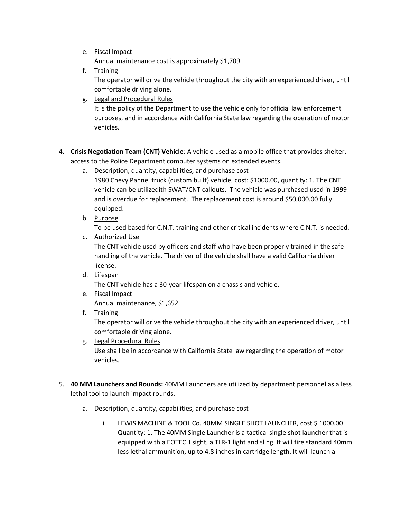e. Fiscal Impact

Annual maintenance cost is approximately \$1,709

- f. Training The operator will drive the vehicle throughout the city with an experienced driver, until comfortable driving alone.
- g. Legal and Procedural Rules

It is the policy of the Department to use the vehicle only for official law enforcement purposes, and in accordance with California State law regarding the operation of motor vehicles.

- 4. **Crisis Negotiation Team (CNT) Vehicle**: A vehicle used as a mobile office that provides shelter, access to the Police Department computer systems on extended events.
	- a. Description, quantity, capabilities, and purchase cost

1980 Chevy Pannel truck (custom built) vehicle, cost: \$1000.00, quantity: 1. The CNT vehicle can be utilizedith SWAT/CNT callouts. The vehicle was purchased used in 1999 and is overdue for replacement. The replacement cost is around \$50,000.00 fully equipped.

b. Purpose

To be used based for C.N.T. training and other critical incidents where C.N.T. is needed.

c. Authorized Use

The CNT vehicle used by officers and staff who have been properly trained in the safe handling of the vehicle. The driver of the vehicle shall have a valid California driver license.

- d. Lifespan The CNT vehicle has a 30-year lifespan on a chassis and vehicle.
- e. Fiscal Impact Annual maintenance, \$1,652
- f. Training

The operator will drive the vehicle throughout the city with an experienced driver, until comfortable driving alone.

- g. Legal Procedural Rules Use shall be in accordance with California State law regarding the operation of motor vehicles.
- 5. **40 MM Launchers and Rounds:** 40MM Launchers are utilized by department personnel as a less lethal tool to launch impact rounds.
	- a. Description, quantity, capabilities, and purchase cost
		- i. LEWIS MACHINE & TOOL Co. 40MM SINGLE SHOT LAUNCHER, cost \$ 1000.00 Quantity: 1. The 40MM Single Launcher is a tactical single shot launcher that is equipped with a EOTECH sight, a TLR-1 light and sling. It will fire standard 40mm less lethal ammunition, up to 4.8 inches in cartridge length. It will launch a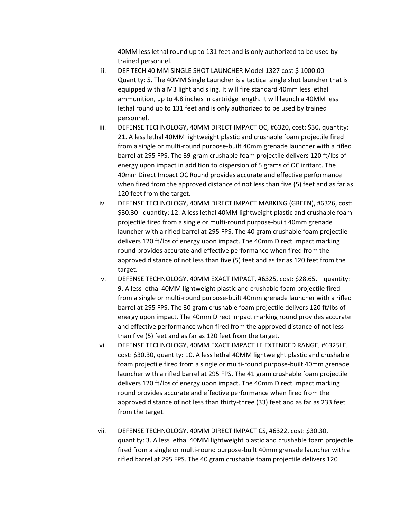40MM less lethal round up to 131 feet and is only authorized to be used by trained personnel.

- ii. DEF TECH 40 MM SINGLE SHOT LAUNCHER Model 1327 cost \$ 1000.00 Quantity: 5. The 40MM Single Launcher is a tactical single shot launcher that is equipped with a M3 light and sling. It will fire standard 40mm less lethal ammunition, up to 4.8 inches in cartridge length. It will launch a 40MM less lethal round up to 131 feet and is only authorized to be used by trained personnel.
- iii. DEFENSE TECHNOLOGY, 40MM DIRECT IMPACT OC, #6320, cost: \$30, quantity: 21. A less lethal 40MM lightweight plastic and crushable foam projectile fired from a single or multi-round purpose-built 40mm grenade launcher with a rifled barrel at 295 FPS. The 39-gram crushable foam projectile delivers 120 ft/lbs of energy upon impact in addition to dispersion of 5 grams of OC irritant. The 40mm Direct Impact OC Round provides accurate and effective performance when fired from the approved distance of not less than five (5) feet and as far as 120 feet from the target.
- iv. DEFENSE TECHNOLOGY, 40MM DIRECT IMPACT MARKING (GREEN), #6326, cost: \$30.30 quantity: 12. A less lethal 40MM lightweight plastic and crushable foam projectile fired from a single or multi-round purpose-built 40mm grenade launcher with a rifled barrel at 295 FPS. The 40 gram crushable foam projectile delivers 120 ft/lbs of energy upon impact. The 40mm Direct Impact marking round provides accurate and effective performance when fired from the approved distance of not less than five (5) feet and as far as 120 feet from the target.
- v. DEFENSE TECHNOLOGY, 40MM EXACT IMPACT, #6325, cost: \$28.65, quantity: 9. A less lethal 40MM lightweight plastic and crushable foam projectile fired from a single or multi-round purpose-built 40mm grenade launcher with a rifled barrel at 295 FPS. The 30 gram crushable foam projectile delivers 120 ft/lbs of energy upon impact. The 40mm Direct Impact marking round provides accurate and effective performance when fired from the approved distance of not less than five (5) feet and as far as 120 feet from the target.
- vi. DEFENSE TECHNOLOGY, 40MM EXACT IMPACT LE EXTENDED RANGE, #6325LE, cost: \$30.30, quantity: 10. A less lethal 40MM lightweight plastic and crushable foam projectile fired from a single or multi-round purpose-built 40mm grenade launcher with a rifled barrel at 295 FPS. The 41 gram crushable foam projectile delivers 120 ft/lbs of energy upon impact. The 40mm Direct Impact marking round provides accurate and effective performance when fired from the approved distance of not less than thirty-three (33) feet and as far as 233 feet from the target.
- vii. DEFENSE TECHNOLOGY, 40MM DIRECT IMPACT CS, #6322, cost: \$30.30, quantity: 3. A less lethal 40MM lightweight plastic and crushable foam projectile fired from a single or multi-round purpose-built 40mm grenade launcher with a rifled barrel at 295 FPS. The 40 gram crushable foam projectile delivers 120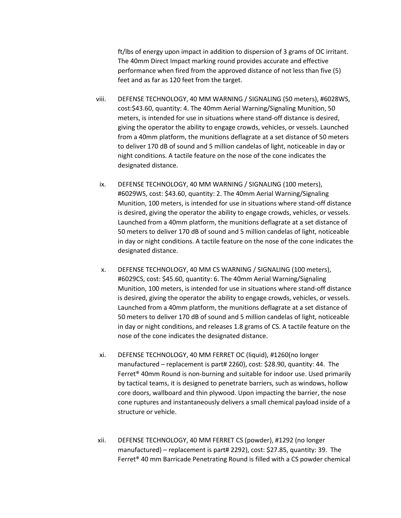ft/lbs of energy upon impact in addition to dispersion of 3 grams of OC irritant. The 40mm Direct Impact marking round provides accurate and effective performance when fired from the approved distance of not less than five (5) feet and as far as 120 feet from the target.

- viii. DEFENSE TECHNOLOGY, 40 MM WARNING / SIGNALING (50 meters), #6028WS, cost:\$43.60, quantity: 4. The 40mm Aerial Warning/Signaling Munition, 50 meters, is intended for use in situations where stand-off distance is desired, giving the operator the ability to engage crowds, vehicles, or vessels. Launched from a 40mm platform, the munitions deflagrate at a set distance of 50 meters to deliver 170 dB of sound and 5 million candelas of light, noticeable in day or night conditions. A tactile feature on the nose of the cone indicates the designated distance.
- ix. DEFENSE TECHNOLOGY, 40 MM WARNING / SIGNALING (100 meters), #6029WS, cost: \$43.60, quantity: 2. The 40mm Aerial Warning/Signaling Munition, 100 meters, is intended for use in situations where stand-off distance is desired, giving the operator the ability to engage crowds, vehicles, or vessels. Launched from a 40mm platform, the munitions deflagrate at a set distance of 50 meters to deliver 170 dB of sound and 5 million candelas of light, noticeable in day or night conditions. A tactile feature on the nose of the cone indicates the designated distance.
- x. DEFENSE TECHNOLOGY, 40 MM CS WARNING / SIGNALING (100 meters), #6029CS, cost: \$45.60, quantity: 6. The 40mm Aerial Warning/Signaling Munition, 100 meters, is intended for use in situations where stand-off distance is desired, giving the operator the ability to engage crowds, vehicles, or vessels. Launched from a 40mm platform, the munitions deflagrate at a set distance of 50 meters to deliver 170 dB of sound and 5 million candelas of light, noticeable in day or night conditions, and releases 1.8 grams of CS. A tactile feature on the nose of the cone indicates the designated distance.
- xi. DEFENSE TECHNOLOGY, 40 MM FERRET OC (liquid), #1260(no longer manufactured – replacement is part# 2260), cost: \$28.90, quantity: 44. The Ferret® 40mm Round is non-burning and suitable for indoor use. Used primarily by tactical teams, it is designed to penetrate barriers, such as windows, hollow core doors, wallboard and thin plywood. Upon impacting the barrier, the nose cone ruptures and instantaneously delivers a small chemical payload inside of a structure or vehicle.
- xii. DEFENSE TECHNOLOGY, 40 MM FERRET CS (powder), #1292 (no longer manufactured) – replacement is part# 2292), cost: \$27.85, quantity: 39. The Ferret® 40 mm Barricade Penetrating Round is filled with a CS powder chemical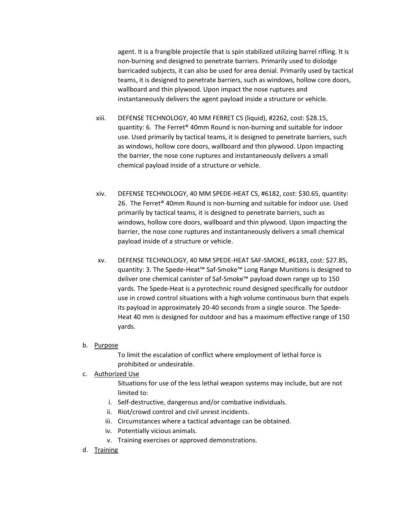agent. It is a frangible projectile that is spin stabilized utilizing barrel rifling. It is non-burning and designed to penetrate barriers. Primarily used to dislodge barricaded subjects, it can also be used for area denial. Primarily used by tactical teams, it is designed to penetrate barriers, such as windows, hollow core doors, wallboard and thin plywood. Upon impact the nose ruptures and instantaneously delivers the agent payload inside a structure or vehicle.

- xiii. DEFENSE TECHNOLOGY, 40 MM FERRET CS (liquid), #2262, cost: \$28.15, quantity: 6. The Ferret® 40mm Round is non-burning and suitable for indoor use. Used primarily by tactical teams, it is designed to penetrate barriers, such as windows, hollow core doors, wallboard and thin plywood. Upon impacting the barrier, the nose cone ruptures and instantaneously delivers a small chemical payload inside of a structure or vehicle.
- xiv. DEFENSE TECHNOLOGY, 40 MM SPEDE-HEAT CS, #6182, cost: \$30.65, quantity: 26. The Ferret® 40mm Round is non-burning and suitable for indoor use. Used primarily by tactical teams, it is designed to penetrate barriers, such as windows, hollow core doors, wallboard and thin plywood. Upon impacting the barrier, the nose cone ruptures and instantaneously delivers a small chemical payload inside of a structure or vehicle.
- xv. DEFENSE TECHNOLOGY, 40 MM SPEDE-HEAT SAF-SMOKE, #6183, cost: \$27.85, quantity: 3. The Spede-Heat™ Saf-Smoke™ Long Range Munitions is designed to deliver one chemical canister of Saf-Smoke™ payload down range up to 150 yards. The Spede-Heat is a pyrotechnic round designed specifically for outdoor use in crowd control situations with a high volume continuous burn that expels its payload in approximately 20-40 seconds from a single source. The Spede-Heat 40 mm is designed for outdoor and has a maximum effective range of 150 yards.
- b. Purpose

To limit the escalation of conflict where employment of lethal force is prohibited or undesirable.

#### c. Authorized Use

Situations for use of the less lethal weapon systems may include, but are not limited to:

- i. Self-destructive, dangerous and/or combative individuals.
- ii. Riot/crowd control and civil unrest incidents.
- iii. Circumstances where a tactical advantage can be obtained.
- iv. Potentially vicious animals.
- v. Training exercises or approved demonstrations.
- d. Training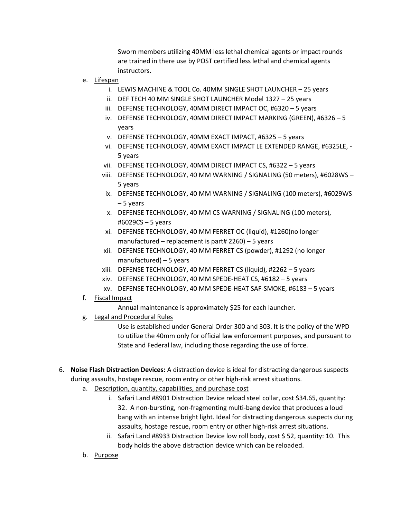Sworn members utilizing 40MM less lethal chemical agents or impact rounds are trained in there use by POST certified less lethal and chemical agents instructors.

- e. Lifespan
	- i. LEWIS MACHINE & TOOL Co. 40MM SINGLE SHOT LAUNCHER 25 years
	- ii. DEF TECH 40 MM SINGLE SHOT LAUNCHER Model 1327 25 years
	- iii. DEFENSE TECHNOLOGY, 40MM DIRECT IMPACT OC, #6320 5 years
	- iv. DEFENSE TECHNOLOGY, 40MM DIRECT IMPACT MARKING (GREEN), #6326 5 years
	- v. DEFENSE TECHNOLOGY, 40MM EXACT IMPACT, #6325 5 years
	- vi. DEFENSE TECHNOLOGY, 40MM EXACT IMPACT LE EXTENDED RANGE, #6325LE, 5 years
	- vii. DEFENSE TECHNOLOGY, 40MM DIRECT IMPACT CS, #6322 5 years
	- viii. DEFENSE TECHNOLOGY, 40 MM WARNING / SIGNALING (50 meters), #6028WS 5 years
	- ix. DEFENSE TECHNOLOGY, 40 MM WARNING / SIGNALING (100 meters), #6029WS – 5 years
	- x. DEFENSE TECHNOLOGY, 40 MM CS WARNING / SIGNALING (100 meters), #6029CS – 5 years
	- xi. DEFENSE TECHNOLOGY, 40 MM FERRET OC (liquid), #1260(no longer manufactured – replacement is part# 2260) – 5 years
	- xii. DEFENSE TECHNOLOGY, 40 MM FERRET CS (powder), #1292 (no longer manufactured) – 5 years
	- xiii. DEFENSE TECHNOLOGY, 40 MM FERRET CS (liquid), #2262 5 years
	- xiv. DEFENSE TECHNOLOGY, 40 MM SPEDE-HEAT CS, #6182 5 years
	- xv. DEFENSE TECHNOLOGY, 40 MM SPEDE-HEAT SAF-SMOKE, #6183 5 years
- f. Fiscal Impact
	- Annual maintenance is approximately \$25 for each launcher.
- g. Legal and Procedural Rules

Use is established under General Order 300 and 303. It is the policy of the WPD to utilize the 40mm only for official law enforcement purposes, and pursuant to State and Federal law, including those regarding the use of force.

- 6. **Noise Flash Distraction Devices:** A distraction device is ideal for distracting dangerous suspects during assaults, hostage rescue, room entry or other high-risk arrest situations.
	- a. Description, quantity, capabilities, and purchase cost
		- i. Safari Land #8901 Distraction Device reload steel collar, cost \$34.65, quantity: 32. A non-bursting, non-fragmenting multi-bang device that produces a loud bang with an intense bright light. Ideal for distracting dangerous suspects during assaults, hostage rescue, room entry or other high-risk arrest situations.
		- ii. Safari Land #8933 Distraction Device low roll body, cost \$ 52, quantity: 10. This body holds the above distraction device which can be reloaded.
	- b. Purpose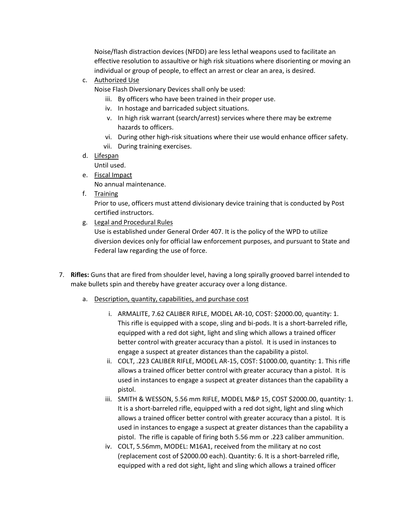Noise/flash distraction devices (NFDD) are less lethal weapons used to facilitate an effective resolution to assaultive or high risk situations where disorienting or moving an individual or group of people, to effect an arrest or clear an area, is desired.

c. Authorized Use

Noise Flash Diversionary Devices shall only be used:

- iii. By officers who have been trained in their proper use.
- iv. In hostage and barricaded subject situations.
- v. In high risk warrant (search/arrest) services where there may be extreme hazards to officers.
- vi. During other high-risk situations where their use would enhance officer safety.
- vii. During training exercises.
- d. Lifespan

Until used.

e. Fiscal Impact

No annual maintenance.

f. Training

Prior to use, officers must attend divisionary device training that is conducted by Post certified instructors.

g. Legal and Procedural Rules

Use is established under General Order 407. It is the policy of the WPD to utilize diversion devices only for official law enforcement purposes, and pursuant to State and Federal law regarding the use of force.

- 7. **Rifles:** Guns that are fired from shoulder level, having a long spirally grooved barrel intended to make bullets spin and thereby have greater accuracy over a long distance.
	- a. Description, quantity, capabilities, and purchase cost
		- i. ARMALITE, 7.62 CALIBER RIFLE, MODEL AR-10, COST: \$2000.00, quantity: 1. This rifle is equipped with a scope, sling and bi-pods. It is a short-barreled rifle, equipped with a red dot sight, light and sling which allows a trained officer better control with greater accuracy than a pistol. It is used in instances to engage a suspect at greater distances than the capability a pistol.
		- ii. COLT, .223 CALIBER RIFLE, MODEL AR-15, COST: \$1000.00, quantity: 1. This rifle allows a trained officer better control with greater accuracy than a pistol. It is used in instances to engage a suspect at greater distances than the capability a pistol.
		- iii. SMITH & WESSON, 5.56 mm RIFLE, MODEL M&P 15, COST \$2000.00, quantity: 1. It is a short-barreled rifle, equipped with a red dot sight, light and sling which allows a trained officer better control with greater accuracy than a pistol. It is used in instances to engage a suspect at greater distances than the capability a pistol. The rifle is capable of firing both 5.56 mm or .223 caliber ammunition.
		- iv. COLT, 5.56mm, MODEL: M16A1, received from the military at no cost (replacement cost of \$2000.00 each). Quantity: 6. It is a short-barreled rifle, equipped with a red dot sight, light and sling which allows a trained officer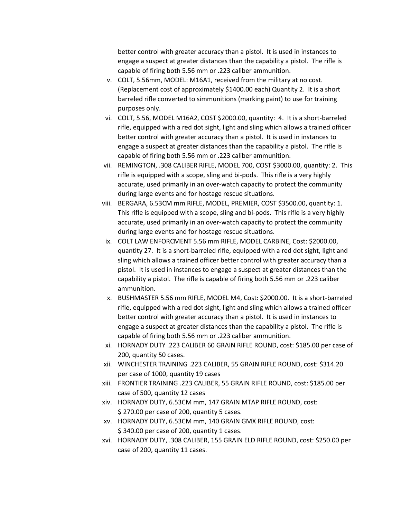better control with greater accuracy than a pistol. It is used in instances to engage a suspect at greater distances than the capability a pistol. The rifle is capable of firing both 5.56 mm or .223 caliber ammunition.

- v. COLT, 5.56mm, MODEL: M16A1, received from the military at no cost. (Replacement cost of approximately \$1400.00 each) Quantity 2. It is a short barreled rifle converted to simmunitions (marking paint) to use for training purposes only.
- vi. COLT, 5.56, MODEL M16A2, COST \$2000.00, quantity: 4. It is a short-barreled rifle, equipped with a red dot sight, light and sling which allows a trained officer better control with greater accuracy than a pistol. It is used in instances to engage a suspect at greater distances than the capability a pistol. The rifle is capable of firing both 5.56 mm or .223 caliber ammunition.
- vii. REMINGTON, .308 CALIBER RIFLE, MODEL 700, COST \$3000.00, quantity: 2. This rifle is equipped with a scope, sling and bi-pods. This rifle is a very highly accurate, used primarily in an over-watch capacity to protect the community during large events and for hostage rescue situations.
- viii. BERGARA, 6.53CM mm RIFLE, MODEL, PREMIER, COST \$3500.00, quantity: 1. This rifle is equipped with a scope, sling and bi-pods. This rifle is a very highly accurate, used primarily in an over-watch capacity to protect the community during large events and for hostage rescue situations.
- ix. COLT LAW ENFORCMENT 5.56 mm RIFLE, MODEL CARBINE, Cost: \$2000.00, quantity 27. It is a short-barreled rifle, equipped with a red dot sight, light and sling which allows a trained officer better control with greater accuracy than a pistol. It is used in instances to engage a suspect at greater distances than the capability a pistol. The rifle is capable of firing both 5.56 mm or .223 caliber ammunition.
- x. BUSHMASTER 5.56 mm RIFLE, MODEL M4, Cost: \$2000.00. It is a short-barreled rifle, equipped with a red dot sight, light and sling which allows a trained officer better control with greater accuracy than a pistol. It is used in instances to engage a suspect at greater distances than the capability a pistol. The rifle is capable of firing both 5.56 mm or .223 caliber ammunition.
- xi. HORNADY DUTY .223 CALIBER 60 GRAIN RIFLE ROUND, cost: \$185.00 per case of 200, quantity 50 cases.
- xii. WINCHESTER TRAINING .223 CALIBER, 55 GRAIN RIFLE ROUND, cost: \$314.20 per case of 1000, quantity 19 cases
- xiii. FRONTIER TRAINING .223 CALIBER, 55 GRAIN RIFLE ROUND, cost: \$185.00 per case of 500, quantity 12 cases
- xiv. HORNADY DUTY, 6.53CM mm, 147 GRAIN MTAP RIFLE ROUND, cost: \$ 270.00 per case of 200, quantity 5 cases.
- xv. HORNADY DUTY, 6.53CM mm, 140 GRAIN GMX RIFLE ROUND, cost: \$ 340.00 per case of 200, quantity 1 cases.
- xvi. HORNADY DUTY, .308 CALIBER, 155 GRAIN ELD RIFLE ROUND, cost: \$250.00 per case of 200, quantity 11 cases.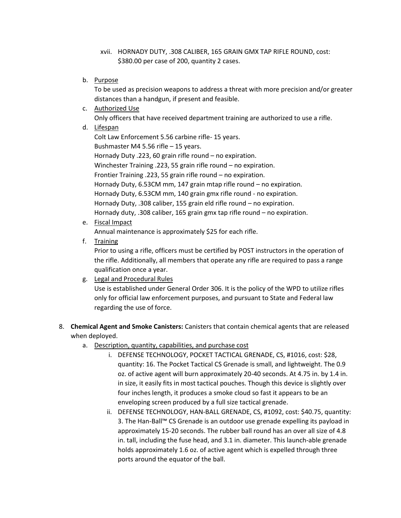- xvii. HORNADY DUTY, .308 CALIBER, 165 GRAIN GMX TAP RIFLE ROUND, cost: \$380.00 per case of 200, quantity 2 cases.
- b. Purpose

To be used as precision weapons to address a threat with more precision and/or greater distances than a handgun, if present and feasible.

c. Authorized Use

Only officers that have received department training are authorized to use a rifle.

d. Lifespan

Colt Law Enforcement 5.56 carbine rifle- 15 years. Bushmaster M4 5.56 rifle – 15 years. Hornady Duty .223, 60 grain rifle round – no expiration. Winchester Training .223, 55 grain rifle round – no expiration. Frontier Training .223, 55 grain rifle round – no expiration. Hornady Duty, 6.53CM mm, 147 grain mtap rifle round – no expiration. Hornady Duty, 6.53CM mm, 140 grain gmx rifle round - no expiration. Hornady Duty, .308 caliber, 155 grain eld rifle round – no expiration. Hornady duty, .308 caliber, 165 grain gmx tap rifle round – no expiration.

e. Fiscal Impact

Annual maintenance is approximately \$25 for each rifle.

f. Training

Prior to using a rifle, officers must be certified by POST instructors in the operation of the rifle. Additionally, all members that operate any rifle are required to pass a range qualification once a year.

g. Legal and Procedural Rules

Use is established under General Order 306. It is the policy of the WPD to utilize rifles only for official law enforcement purposes, and pursuant to State and Federal law regarding the use of force.

- 8. **Chemical Agent and Smoke Canisters:** Canisters that contain chemical agents that are released when deployed.
	- a. Description, quantity, capabilities, and purchase cost
		- i. DEFENSE TECHNOLOGY, POCKET TACTICAL GRENADE, CS, #1016, cost: \$28, quantity: 16. The Pocket Tactical CS Grenade is small, and lightweight. The 0.9 oz. of active agent will burn approximately 20-40 seconds. At 4.75 in. by 1.4 in. in size, it easily fits in most tactical pouches. Though this device is slightly over four inches length, it produces a smoke cloud so fast it appears to be an enveloping screen produced by a full size tactical grenade.
		- ii. DEFENSE TECHNOLOGY, HAN-BALL GRENADE, CS, #1092, cost: \$40.75, quantity: 3. The Han-Ball™ CS Grenade is an outdoor use grenade expelling its payload in approximately 15-20 seconds. The rubber ball round has an over all size of 4.8 in. tall, including the fuse head, and 3.1 in. diameter. This launch-able grenade holds approximately 1.6 oz. of active agent which is expelled through three ports around the equator of the ball.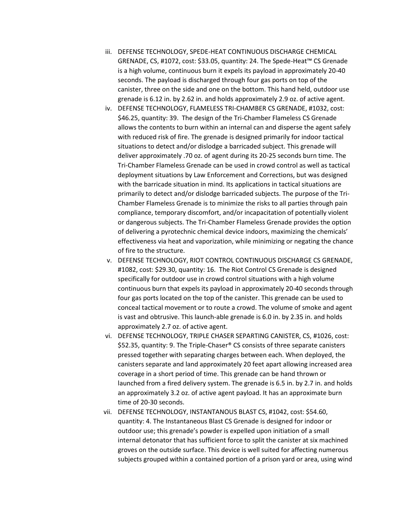- iii. DEFENSE TECHNOLOGY, SPEDE-HEAT CONTINUOUS DISCHARGE CHEMICAL GRENADE, CS, #1072, cost: \$33.05, quantity: 24. The Spede-Heat™ CS Grenade is a high volume, continuous burn it expels its payload in approximately 20-40 seconds. The payload is discharged through four gas ports on top of the canister, three on the side and one on the bottom. This hand held, outdoor use grenade is 6.12 in. by 2.62 in. and holds approximately 2.9 oz. of active agent.
- iv. DEFENSE TECHNOLOGY, FLAMELESS TRI-CHAMBER CS GRENADE, #1032, cost: \$46.25, quantity: 39. The design of the Tri-Chamber Flameless CS Grenade allows the contents to burn within an internal can and disperse the agent safely with reduced risk of fire. The grenade is designed primarily for indoor tactical situations to detect and/or dislodge a barricaded subject. This grenade will deliver approximately .70 oz. of agent during its 20-25 seconds burn time. The Tri-Chamber Flameless Grenade can be used in crowd control as well as tactical deployment situations by Law Enforcement and Corrections, but was designed with the barricade situation in mind. Its applications in tactical situations are primarily to detect and/or dislodge barricaded subjects. The purpose of the Tri-Chamber Flameless Grenade is to minimize the risks to all parties through pain compliance, temporary discomfort, and/or incapacitation of potentially violent or dangerous subjects. The Tri-Chamber Flameless Grenade provides the option of delivering a pyrotechnic chemical device indoors, maximizing the chemicals' effectiveness via heat and vaporization, while minimizing or negating the chance of fire to the structure.
- v. DEFENSE TECHNOLOGY, RIOT CONTROL CONTINUOUS DISCHARGE CS GRENADE, #1082, cost: \$29.30, quantity: 16. The Riot Control CS Grenade is designed specifically for outdoor use in crowd control situations with a high volume continuous burn that expels its payload in approximately 20-40 seconds through four gas ports located on the top of the canister. This grenade can be used to conceal tactical movement or to route a crowd. The volume of smoke and agent is vast and obtrusive. This launch-able grenade is 6.0 in. by 2.35 in. and holds approximately 2.7 oz. of active agent.
- vi. DEFENSE TECHNOLOGY, TRIPLE CHASER SEPARTING CANISTER, CS, #1026, cost: \$52.35, quantity: 9. The Triple-Chaser® CS consists of three separate canisters pressed together with separating charges between each. When deployed, the canisters separate and land approximately 20 feet apart allowing increased area coverage in a short period of time. This grenade can be hand thrown or launched from a fired delivery system. The grenade is 6.5 in. by 2.7 in. and holds an approximately 3.2 oz. of active agent payload. It has an approximate burn time of 20-30 seconds.
- vii. DEFENSE TECHNOLOGY, INSTANTANOUS BLAST CS, #1042, cost: \$54.60, quantity: 4. The Instantaneous Blast CS Grenade is designed for indoor or outdoor use; this grenade's powder is expelled upon initiation of a small internal detonator that has sufficient force to split the canister at six machined groves on the outside surface. This device is well suited for affecting numerous subjects grouped within a contained portion of a prison yard or area, using wind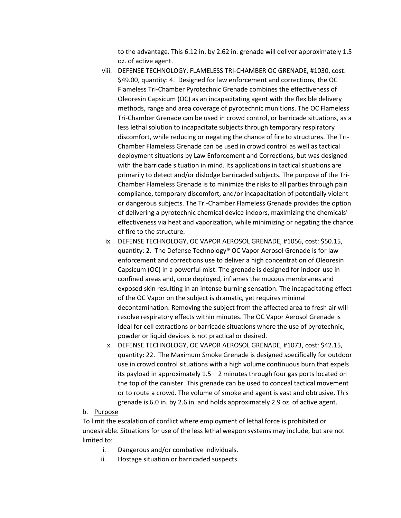to the advantage. This 6.12 in. by 2.62 in. grenade will deliver approximately 1.5 oz. of active agent.

- viii. DEFENSE TECHNOLOGY, FLAMELESS TRI-CHAMBER OC GRENADE, #1030, cost: \$49.00, quantity: 4. Designed for law enforcement and corrections, the OC Flameless Tri-Chamber Pyrotechnic Grenade combines the effectiveness of Oleoresin Capsicum (OC) as an incapacitating agent with the flexible delivery methods, range and area coverage of pyrotechnic munitions. The OC Flameless Tri-Chamber Grenade can be used in crowd control, or barricade situations, as a less lethal solution to incapacitate subjects through temporary respiratory discomfort, while reducing or negating the chance of fire to structures. The Tri-Chamber Flameless Grenade can be used in crowd control as well as tactical deployment situations by Law Enforcement and Corrections, but was designed with the barricade situation in mind. Its applications in tactical situations are primarily to detect and/or dislodge barricaded subjects. The purpose of the Tri-Chamber Flameless Grenade is to minimize the risks to all parties through pain compliance, temporary discomfort, and/or incapacitation of potentially violent or dangerous subjects. The Tri-Chamber Flameless Grenade provides the option of delivering a pyrotechnic chemical device indoors, maximizing the chemicals' effectiveness via heat and vaporization, while minimizing or negating the chance of fire to the structure.
- ix. DEFENSE TECHNOLOGY, OC VAPOR AEROSOL GRENADE, #1056, cost: \$50.15, quantity: 2. The Defense Technology® OC Vapor Aerosol Grenade is for law enforcement and corrections use to deliver a high concentration of Oleoresin Capsicum (OC) in a powerful mist. The grenade is designed for indoor-use in confined areas and, once deployed, inflames the mucous membranes and exposed skin resulting in an intense burning sensation. The incapacitating effect of the OC Vapor on the subject is dramatic, yet requires minimal decontamination. Removing the subject from the affected area to fresh air will resolve respiratory effects within minutes. The OC Vapor Aerosol Grenade is ideal for cell extractions or barricade situations where the use of pyrotechnic, powder or liquid devices is not practical or desired.
- x. DEFENSE TECHNOLOGY, OC VAPOR AEROSOL GRENADE, #1073, cost: \$42.15, quantity: 22. The Maximum Smoke Grenade is designed specifically for outdoor use in crowd control situations with a high volume continuous burn that expels its payload in approximately 1.5 – 2 minutes through four gas ports located on the top of the canister. This grenade can be used to conceal tactical movement or to route a crowd. The volume of smoke and agent is vast and obtrusive. This grenade is 6.0 in. by 2.6 in. and holds approximately 2.9 oz. of active agent.

#### b. Purpose

To limit the escalation of conflict where employment of lethal force is prohibited or undesirable. Situations for use of the less lethal weapon systems may include, but are not limited to:

- i. Dangerous and/or combative individuals.
- ii. Hostage situation or barricaded suspects.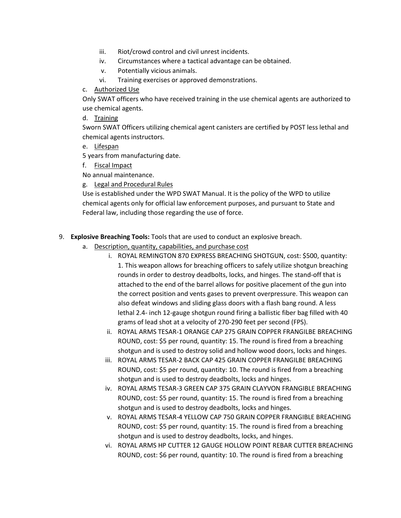- iii. Riot/crowd control and civil unrest incidents.
- iv. Circumstances where a tactical advantage can be obtained.
- v. Potentially vicious animals.
- vi. Training exercises or approved demonstrations.
- c. Authorized Use

Only SWAT officers who have received training in the use chemical agents are authorized to use chemical agents.

d. Training

Sworn SWAT Officers utilizing chemical agent canisters are certified by POST less lethal and chemical agents instructors.

e. Lifespan

5 years from manufacturing date.

f. Fiscal Impact

No annual maintenance.

g. Legal and Procedural Rules

Use is established under the WPD SWAT Manual. It is the policy of the WPD to utilize chemical agents only for official law enforcement purposes, and pursuant to State and Federal law, including those regarding the use of force.

- 9. **Explosive Breaching Tools:** Tools that are used to conduct an explosive breach.
	- a. Description, quantity, capabilities, and purchase cost
		- i. ROYAL REMINGTON 870 EXPRESS BREACHING SHOTGUN, cost: \$500, quantity: 1. This weapon allows for breaching officers to safely utilize shotgun breaching rounds in order to destroy deadbolts, locks, and hinges. The stand-off that is attached to the end of the barrel allows for positive placement of the gun into the correct position and vents gases to prevent overpressure. This weapon can also defeat windows and sliding glass doors with a flash bang round. A less lethal 2.4- inch 12-gauge shotgun round firing a ballistic fiber bag filled with 40 grams of lead shot at a velocity of 270-290 feet per second (FPS).
		- ii. ROYAL ARMS TESAR-1 ORANGE CAP 275 GRAIN COPPER FRANGILBE BREACHING ROUND, cost: \$5 per round, quantity: 15. The round is fired from a breaching shotgun and is used to destroy solid and hollow wood doors, locks and hinges.
		- iii. ROYAL ARMS TESAR-2 BACK CAP 425 GRAIN COPPER FRANGILBE BREACHING ROUND, cost: \$5 per round, quantity: 10. The round is fired from a breaching shotgun and is used to destroy deadbolts, locks and hinges.
		- iv. ROYAL ARMS TESAR-3 GREEN CAP 375 GRAIN CLAYVON FRANGIBLE BREACHING ROUND, cost: \$5 per round, quantity: 15. The round is fired from a breaching shotgun and is used to destroy deadbolts, locks and hinges.
		- v. ROYAL ARMS TESAR-4 YELLOW CAP 750 GRAIN COPPER FRANGIBLE BREACHING ROUND, cost: \$5 per round, quantity: 15. The round is fired from a breaching shotgun and is used to destroy deadbolts, locks, and hinges.
		- vi. ROYAL ARMS HP CUTTER 12 GAUGE HOLLOW POINT REBAR CUTTER BREACHING ROUND, cost: \$6 per round, quantity: 10. The round is fired from a breaching